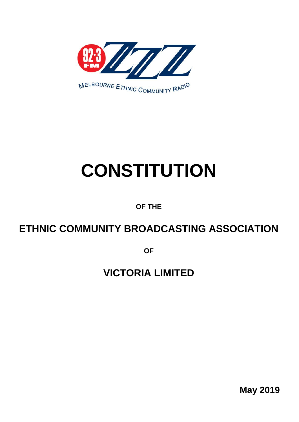

# **CONSTITUTION**

## **OF THE**

## **ETHNIC COMMUNITY BROADCASTING ASSOCIATION**

**OF** 

# **VICTORIA LIMITED**

**May 2019**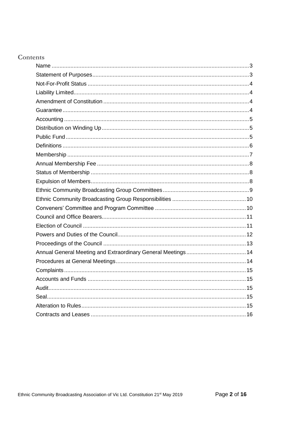#### **Contents**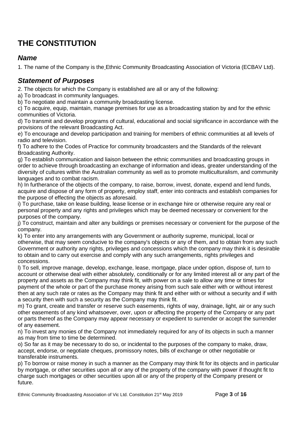## **THE CONSTITUTION**

#### <span id="page-2-0"></span>*Name*

1. The name of the Company is the Ethnic Community Broadcasting Association of Victoria (ECBAV Ltd).

#### <span id="page-2-1"></span>*Statement of Purposes*

2. The objects for which the Company is established are all or any of the following:

a) To broadcast in community languages.

b) To negotiate and maintain a community broadcasting license.

c) To acquire, equip, maintain, manage premises for use as a broadcasting station by and for the ethnic communities of Victoria.

d) To transmit and develop programs of cultural, educational and social significance in accordance with the provisions of the relevant Broadcasting Act.

e) To encourage and develop participation and training for members of ethnic communities at all levels of radio and television.

f) To adhere to the Codes of Practice for community broadcasters and the Standards of the relevant Broadcasting Authority.

g) To establish communication and liaison between the ethnic communities and broadcasting groups in order to achieve through broadcasting an exchange of information and ideas, greater understanding of the diversity of cultures within the Australian community as well as to promote multiculturalism, and community languages and to combat racism.

h) In furtherance of the objects of the company, to raise, borrow, invest, donate, expend and lend funds, acquire and dispose of any form of property, employ staff, enter into contracts and establish companies for the purpose of effecting the objects as aforesaid.

i) To purchase, take on lease building, lease license or in exchange hire or otherwise require any real or personal property and any rights and privileges which may be deemed necessary or convenient for the purposes of the company.

j) To construct, maintain and alter any buildings or premises necessary or convenient for the purpose of the company.

k) To enter into any arrangements with any Government or authority supreme, municipal, local or otherwise, that may seem conducive to the company's objects or any of them, and to obtain from any such Government or authority any rights, privileges and concessions which the company may think it is desirable to obtain and to carry out exercise and comply with any such arrangements, rights privileges and concessions.

l) To sell, improve manage, develop, exchange, lease, mortgage, place under option, dispose of, turn to account or otherwise deal with either absolutely, conditionally or for any limited interest all or any part of the property and assets as the Company may think fit, with power on a sale to allow any time or times for payment of the whole or part of the purchase money arising from such sale either with or without interest then at any such rate or rates as the Company may think fit and either with or without a security and if with a security then with such a security as the Company may think fit.

m) To grant, create and transfer or reserve such easements, rights of way, drainage, light, air or any such other easements of any kind whatsoever, over, upon or affecting the property of the Company or any part or parts thereof as the Company may appear necessary or expedient to surrender or accept the surrender of any easement.

n) To invest any monies of the Company not immediately required for any of its objects in such a manner as may from time to time be determined.

o) So far as it may be necessary to do so, or incidental to the purposes of the company to make, draw, accept, endorse, or negotiate cheques, promissory notes, bills of exchange or other negotiable or transferable instruments.

p) To borrow or raise money in such a manner as the Company may think fit for its objects and in particular by mortgage, or other securities upon all or any of the property of the company with power if thought fit to charge such mortgages or other securities upon all or any of the property of the Company present or future.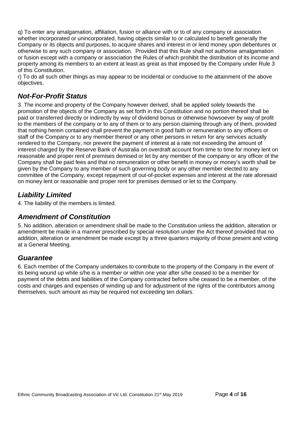q) To enter any amalgamation, affiliation, fusion or alliance with or to of any company or association whether incorporated or unincorporated, having objects similar to or calculated to benefit generally the Company or its objects and purposes, to acquire shares and interest in or lend money upon debentures or otherwise to any such company or association. Provided that this Rule shall not authorise amalgamation or fusion except with a company or association the Rules of which prohibit the distribution of its income and property among its members to an extent at least as great as that imposed by the Company under Rule 3 of this Constitution.

r) To do all such other things as may appear to be incidental or conducive to the attainment of the above objectives.

#### <span id="page-3-0"></span>*Not-For-Profit Status*

3. The income and property of the Company however derived, shall be applied solely towards the promotion of the objects of the Company as set forth in this Constitution and no portion thereof shall be paid or transferred directly or indirectly by way of dividend bonus or otherwise howsoever by way of profit to the members of the company or to any of them or to any person claiming through any of them, provided that nothing herein contained shall prevent the payment in good faith or remuneration to any officers or staff of the Company or to any member thereof or any other persons in return for any services actually rendered to the Company, nor prevent the payment of interest at a rate not exceeding the amount of interest charged by the Reserve Bank of Australia on overdraft account from time to time for money lent on reasonable and proper rent of premises demised or let by any member of the company or any officer of the Company shall be paid fees and that no remuneration or other benefit in money or money's worth shall be given by the Company to any member of such governing body or any other member elected to any committee of the Company, except repayment of out-of-pocket expenses and interest at the rate aforesaid on money lent or reasonable and proper rent for premises demised or let to the Company.

#### <span id="page-3-1"></span>*Liability Limited*

4. The liability of the members is limited.

#### <span id="page-3-2"></span>*Amendment of Constitution*

5. No addition, alteration or amendment shall be made to the Constitution unless the addition, alteration or amendment be made in a manner prescribed by special resolution under the Act thereof provided that no addition, alteration or amendment be made except by a three quarters majority of those present and voting at a General Meeting.

#### <span id="page-3-3"></span>*Guarantee*

6. Each member of the Company undertakes to contribute to the property of the Company in the event of its being wound up while s/he is a member or within one year after s/he ceased to be a member for payment of the debts and liabilities of the Company contracted before s/he ceased to be a member, of the costs and charges and expenses of winding up and for adjustment of the rights of the contributors among themselves, such amount as may be required not exceeding ten dollars.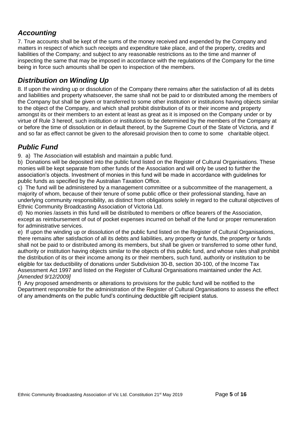#### <span id="page-4-0"></span>*Accounting*

7. True accounts shall be kept of the sums of the money received and expended by the Company and matters in respect of which such receipts and expenditure take place, and of the property, credits and liabilities of the Company; and subject to any reasonable restrictions as to the time and manner of inspecting the same that may be imposed in accordance with the regulations of the Company for the time being in force such amounts shall be open to inspection of the members.

#### <span id="page-4-1"></span>*Distribution on Winding Up*

8. If upon the winding up or dissolution of the Company there remains after the satisfaction of all its debts and liabilities and property whatsoever, the same shall not be paid to or distributed among the members of the Company but shall be given or transferred to some other institution or institutions having objects similar to the object of the Company, and which shall prohibit distribution of its or their income and property amongst its or their members to an extent at least as great as it is imposed on the Company under or by virtue of Rule 3 hereof, such institution or institutions to be determined by the members of the Company at or before the time of dissolution or in default thereof, by the Supreme Court of the State of Victoria, and if and so far as effect cannot be given to the aforesaid provision then to come to some charitable object.

### <span id="page-4-2"></span>*Public Fund*

9. a) The Association will establish and maintain a public fund.

b) Donations will be deposited into the public fund listed on the Register of Cultural Organisations. These monies will be kept separate from other funds of the Association and will only be used to further the association's objects. Investment of monies in this fund will be made in accordance with guidelines for public funds as specified by the Australian Taxation Office.

c) The fund will be administered by a management committee or a subcommittee of the management, a majority of whom, because of their tenure of some public office or their professional standing, have an underlying community responsibility, as distinct from obligations solely in regard to the cultural objectives of Ethnic Community Broadcasting Association of Victoria Ltd.

d) No monies /assets in this fund will be distributed to members or office bearers of the Association, except as reimbursement of out of pocket expenses incurred on behalf of the fund or proper remuneration for administrative services.

e) If upon the winding up or dissolution of the public fund listed on the Register of Cultural Organisations, there remains after satisfaction of all its debts and liabilities, any property or funds, the property or funds shall not be paid to or distributed among its members, but shall be given or transferred to some other fund, authority or institution having objects similar to the objects of this public fund, and whose rules shall prohibit the distribution of its or their income among its or their members, such fund, authority or institution to be eligible for tax deductibility of donations under Subdivision 30-B, section 30-100, of the Income Tax Assessment Act 1997 and listed on the Register of Cultural Organisations maintained under the Act. *[Amended 9/12/2009]*

f) Any proposed amendments or alterations to provisions for the public fund will be notified to the Department responsible for the administration of the Register of Cultural Organisations to assess the effect of any amendments on the public fund's continuing deductible gift recipient status.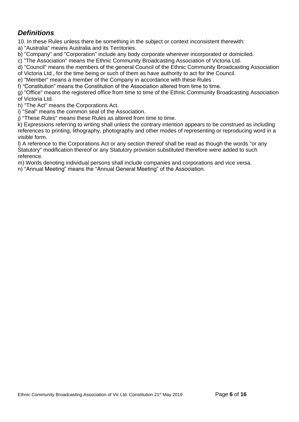#### <span id="page-5-0"></span>*Definitions*

10. In these Rules unless there be something in the subject or context inconsistent therewith:

a) "Australia" means Australia and its Territories.

b) "Company" and "Corporation" include any body corporate wherever incorporated or domiciled.

c) "The Association" means the Ethnic Community Broadcasting Association of Victoria Ltd.

d) "Council" means the members of the general Council of the Ethnic Community Broadcasting Association

of Victoria Ltd., for the time being or such of them as have authority to act for the Council.

e) "Member" means a member of the Company in accordance with these Rules .

f) "Constitution" means the Constitution of the Association altered from time to time.

g) "Office" means the registered office from time to time of the Ethnic Community Broadcasting Association of Victoria Ltd.

h) "The Act" means the Corporations Act.

i) "Seal" means the common seal of the Association.

j) "These Rules" means these Rules as altered from time to time.

k) Expressions referring to writing shall unless the contrary intention appears to be construed as including references to printing, lithography, photography and other modes of representing or reproducing word in a visible form.

l) A reference to the Corporations Act or any section thereof shall be read as though the words "or any Statutory" modification thereof or any Statutory provision substituted therefore were added to such reference.

m) Words denoting individual persons shall include companies and corporations and vice versa.

n) "Annual Meeting" means the "Annual General Meeting" of the Association.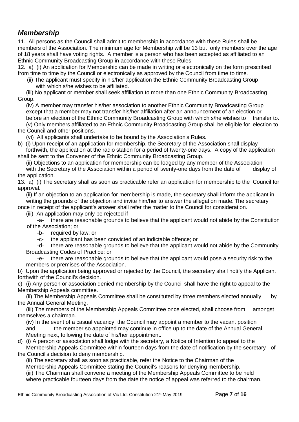#### <span id="page-6-0"></span>*Membership*

11. All persons as the Council shall admit to membership in accordance with these Rules shall be members of the Association. The minimum age for Membership will be 13 but only members over the age of 18 years shall have voting rights. A member is a person who has been accepted as affiliated to an Ethnic Community Broadcasting Group in accordance with these Rules.

12. a) (i) An application for Membership can be made in writing or electronically on the form prescribed from time to time by the Council or electronically as approved by the Council from time to time.

 (ii) The applicant must specify in his/her application the Ethnic Community Broadcasting Group with which s/he wishes to be affiliated.

(iii) No applicant or member shall seek affiliation to more than one Ethnic Community Broadcasting Group.

(iv) A member may transfer his/her association to another Ethnic Community Broadcasting Group except that a member may not transfer his/her affiliation after an announcement of an election or before an election of the Ethnic Community Broadcasting Group with which s/he wishes to transfer to.

(v) Only members affiliated to an Ethnic Community Broadcasting Group shall be eligible for election to the Council and other positions.

(vi) All applicants shall undertake to be bound by the Association's Rules.

b) (i) Upon receipt of an application for membership, the Secretary of the Association shall display forthwith, the application at the radio station for a period of twenty-one days. A copy of the application

shall be sent to the Convener of the Ethnic Community Broadcasting Group.

(ii) Objections to an application for membership can be lodged by any member of the Association with the Secretary of the Association within a period of twenty-one days from the date of display of the application.

13. a) (i) The secretary shall as soon as practicable refer an application for membership to the Council for approval.

(ii) If an objection to an application for membership is made, the secretary shall inform the applicant in writing the grounds of the objection and invite him/her to answer the allegation made. The secretary once in receipt of the applicant's answer shall refer the matter to the Council for consideration.

(iii) An application may only be rejected if

-a- there are reasonable grounds to believe that the applicant would not abide by the Constitution of the Association; or

-b- required by law; or

-c- the applicant has been convicted of an indictable offence; or

-d- there are reasonable grounds to believe that the applicant would not abide by the Community Broadcasting Codes of Practice; or

-e- there are reasonable grounds to believe that the applicant would pose a security risk to the members or premises of the Association.

b) Upon the application being approved or rejected by the Council, the secretary shall notify the Applicant forthwith of the Council's decision.

c) (i) Any person or association denied membership by the Council shall have the right to appeal to the Membership Appeals committee.

(ii) The Membership Appeals Committee shall be constituted by three members elected annually by the Annual General Meeting.

(iii) The members of the Membership Appeals Committee once elected, shall choose from amongst themselves a chairman.

(iv) In the event of a casual vacancy, the Council may appoint a member to the vacant position and the member so appointed may continue in office up to the date of the Annual General Meeting next, following the date of his/her appointment.

d) (i) A person or association shall lodge with the secretary, a Notice of Intention to appeal to the

Membership Appeals Committee within fourteen days from the date of notification by the secretary of the Council's decision to deny membership.

(ii) The secretary shall as soon as practicable, refer the Notice to the Chairman of the

Membership Appeals Committee stating the Council's reasons for denying membership.

(iii) The Chairman shall convene a meeting of the Membership Appeals Committee to be held where practicable fourteen days from the date the notice of appeal was referred to the chairman.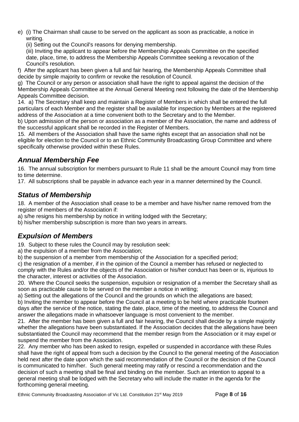- e) (i) The Chairman shall cause to be served on the applicant as soon as practicable, a notice in writing.
	- (ii) Setting out the Council's reasons for denying membership.

(iii) Inviting the applicant to appear before the Membership Appeals Committee on the specified date, place, time, to address the Membership Appeals Committee seeking a revocation of the Council's resolution.

f) After the applicant has been given a full and fair hearing, the Membership Appeals Committee shall decide by simple majority to confirm or revoke the resolution of Council.

g) The Council or any person or association shall have the right to appeal against the decision of the Membership Appeals Committee at the Annual General Meeting next following the date of the Membership Appeals Committee decision.

14. a) The Secretary shall keep and maintain a Register of Members in which shall be entered the full particulars of each Member and the register shall be available for inspection by Members at the registered address of the Association at a time convenient both to the Secretary and to the Member.

b) Upon admission of the person or association as a member of the Association, the name and address of the successful applicant shall be recorded in the Register of Members.

15. All members of the Association shall have the same rights except that an association shall not be eligible for election to the Council or to an Ethnic Community Broadcasting Group Committee and where specifically otherwise provided within these Rules.

#### <span id="page-7-0"></span>*Annual Membership Fee*

16. The annual subscription for members pursuant to Rule 11 shall be the amount Council may from time to time determine.

17. All subscriptions shall be payable in advance each year in a manner determined by the Council.

#### <span id="page-7-1"></span>*Status of Membership*

18. A member of the Association shall cease to be a member and have his/her name removed from the register of members of the Association if:

a) s/he resigns his membership by notice in writing lodged with the Secretary;

b) his/her membership subscription is more than two years in arrears.

#### <span id="page-7-2"></span>*Expulsion of Members*

19. Subject to these rules the Council may by resolution seek:

a) the expulsion of a member from the Association;

b) the suspension of a member from membership of the Association for a specified period;

c) the resignation of a member, if in the opinion of the Council a member has refused or neglected to comply with the Rules and/or the objects of the Association or his/her conduct has been or is, injurious to the character, interest or activities of the Association.

20. Where the Council seeks the suspension, expulsion or resignation of a member the Secretary shall as soon as practicable cause to be served on the member a notice in writing;

a) Setting out the allegations of the Council and the grounds on which the allegations are based;

b) Inviting the member to appear before the Council at a meeting to be held where practicable fourteen days after the service of the notice, stating the date, place, time of the meeting, to address the Council and answer the allegations made in whatsoever language is most convenient to the member.

21. After the member has been given a full and fair hearing, the Council shall decide by a simple majority whether the allegations have been substantiated. If the Association decides that the allegations have been substantiated the Council may recommend that the member resign from the Association or it may expel or suspend the member from the Association.

22. Any member who has been asked to resign, expelled or suspended in accordance with these Rules shall have the right of appeal from such a decision by the Council to the general meeting of the Association held next after the date upon which the said recommendation of the Council or the decision of the Council is communicated to him/her. Such general meeting may ratify or rescind a recommendation and the decision of such a meeting shall be final and binding on the member. Such an intention to appeal to a general meeting shall be lodged with the Secretary who will include the matter in the agenda for the forthcoming general meeting.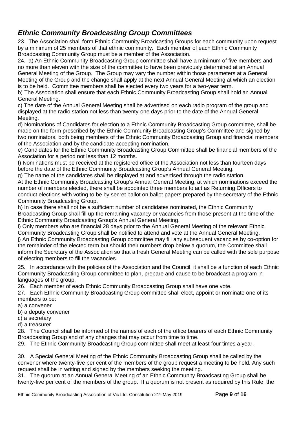#### <span id="page-8-0"></span>*Ethnic Community Broadcasting Group Committees*

23. The Association shall form Ethnic Community Broadcasting Groups for each community upon request by a minimum of 25 members of that ethnic community. Each member of each Ethnic Community Broadcasting Community Group must be a member of the Association.

24. a) An Ethnic Community Broadcasting Group committee shall have a minimum of five members and no more than eleven with the size of the committee to have been previously determined at an Annual General Meeting of the Group. The Group may vary the number within those parameters at a General Meeting of the Group and the change shall apply at the next Annual General Meeting at which an election is to be held. Committee members shall be elected every two years for a two-year term.

b) The Association shall ensure that each Ethnic Community Broadcasting Group shall hold an Annual General Meeting.

c) The date of the Annual General Meeting shall be advertised on each radio program of the group and displayed at the radio station not less than twenty-one days prior to the date of the Annual General Meeting.

d) Nominations of Candidates for election to a Ethnic Community Broadcasting Group committee, shall be made on the form prescribed by the Ethnic Community Broadcasting Group's Committee and signed by two nominators, both being members of the Ethnic Community Broadcasting Group and financial members of the Association and by the candidate accepting nomination.

e) Candidates for the Ethnic Community Broadcasting Group Committee shall be financial members of the Association for a period not less than 12 months.

f) Nominations must be received at the registered office of the Association not less than fourteen days before the date of the Ethnic Community Broadcasting Group's Annual General Meeting.

g) The name of the candidates shall be displayed at and advertised through the radio station.

At the Ethnic Community Broadcasting Group's Annual General Meeting, at which nominations exceed the number of members elected, there shall be appointed three members to act as Returning Officers to conduct elections with voting to be by secret ballot on ballot papers prepared by the secretary of the Ethnic Community Broadcasting Group.

h) In case there shall not be a sufficient number of candidates nominated, the Ethnic Community Broadcasting Group shall fill up the remaining vacancy or vacancies from those present at the time of the Ethnic Community Broadcasting Group's Annual General Meeting.

i) Only members who are financial 28 days prior to the Annual General Meeting of the relevant Ethnic Community Broadcasting Group shall be notified to attend and vote at the Annual General Meeting.

j) An Ethnic Community Broadcasting Group committee may fill any subsequent vacancies by co-option for the remainder of the elected term but should their numbers drop below a quorum, the Committee shall inform the Secretary of the Association so that a fresh General Meeting can be called with the sole purpose of electing members to fill the vacancies.

25. In accordance with the policies of the Association and the Council, it shall be a function of each Ethnic Community Broadcasting Group committee to plan, prepare and cause to be broadcast a program in languages of the group.

26. Each member of each Ethnic Community Broadcasting Group shall have one vote.

27. Each Ethnic Community Broadcasting Group committee shall elect, appoint or nominate one of its members to be:

- a) a convener
- b) a deputy convener

c) a secretary

d) a treasurer

28. The Council shall be informed of the names of each of the office bearers of each Ethnic Community Broadcasting Group and of any changes that may occur from time to time.

29. The Ethnic Community Broadcasting Group committee shall meet at least four times a year.

30. A Special General Meeting of the Ethnic Community Broadcasting Group shall be called by the convener where twenty-five per cent of the members of the group request a meeting to be held. Any such request shall be in writing and signed by the members seeking the meeting.

31. The quorum at an Annual General Meeting of an Ethnic Community Broadcasting Group shall be twenty-five per cent of the members of the group. If a quorum is not present as required by this Rule, the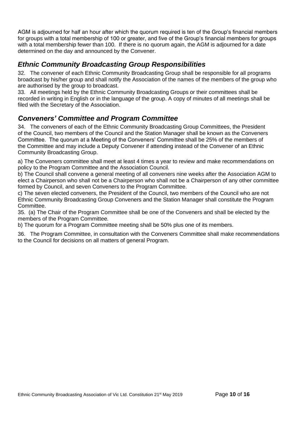AGM is adjourned for half an hour after which the quorum required is ten of the Group's financial members for groups with a total membership of 100 or greater, and five of the Group's financial members for groups with a total membership fewer than 100. If there is no quorum again, the AGM is adjourned for a date determined on the day and announced by the Convener.

#### <span id="page-9-0"></span>*Ethnic Community Broadcasting Group Responsibilities*

32. The convener of each Ethnic Community Broadcasting Group shall be responsible for all programs broadcast by his/her group and shall notify the Association of the names of the members of the group who are authorised by the group to broadcast.

33. All meetings held by the Ethnic Community Broadcasting Groups or their committees shall be recorded in writing in English or in the language of the group. A copy of minutes of all meetings shall be filed with the Secretary of the Association.

#### <span id="page-9-1"></span>*Conveners' Committee and Program Committee*

34. The conveners of each of the Ethnic Community Broadcasting Group Committees, the President of the Council, two members of the Council and the Station Manager shall be known as the Conveners Committee. The quorum at a Meeting of the Conveners' Committee shall be 25% of the members of the Committee and may include a Deputy Convener if attending instead of the Convener of an Ethnic Community Broadcasting Group.

a) The Conveners committee shall meet at least 4 times a year to review and make recommendations on policy to the Program Committee and the Association Council.

b) The Council shall convene a general meeting of all conveners nine weeks after the Association AGM to elect a Chairperson who shall not be a Chairperson who shall not be a Chairperson of any other committee formed by Council, and seven Conveners to the Program Committee.

c) The seven elected conveners, the President of the Council, two members of the Council who are not Ethnic Community Broadcasting Group Conveners and the Station Manager shall constitute the Program Committee.

35. (a) The Chair of the Program Committee shall be one of the Conveners and shall be elected by the members of the Program Committee.

b) The quorum for a Program Committee meeting shall be 50% plus one of its members.

36. The Program Committee, in consultation with the Conveners Committee shall make recommendations to the Council for decisions on all matters of general Program.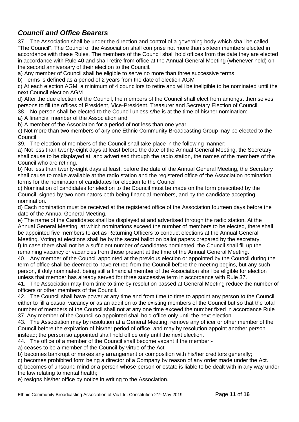#### <span id="page-10-0"></span>*Council and Office Bearers*

<span id="page-10-1"></span>37. The Association shall be under the direction and control of a governing body which shall be called "The Council". The Council of the Association shall comprise not more than sixteen members elected in accordance with these Rules. The members of the Council shall hold offices from the date they are elected in accordance with Rule 40 and shall retire from office at the Annual General Meeting (whenever held) on the second anniversary of their election to the Council.

a) Any member of Council shall be eligible to serve no more than three successive terms

b) Terms is defined as a period of 2 years from the date of election AGM

c) At each election AGM, a minimum of 4 councilors to retire and will be ineligible to be nominated until the next Council election AGM

d) After the due election of the Council, the members of the Council shall elect from amongst themselves persons to fill the offices of President, Vice-President, Treasurer and Secretary Election of Council. 38. No person shall be elected to the Council unless s/he is at the time of his/her nomination:-

a) A financial member of the Association and

b) A member of the Association for a period of not less than one year.

c) Not more than two members of any one Ethnic Community Broadcasting Group may be elected to the Council.

39. The election of members of the Council shall take place in the following manner:-

a) Not less than twenty-eight days at least before the date of the Annual General Meeting, the Secretary shall cause to be displayed at, and advertised through the radio station, the names of the members of the Council who are retiring.

b) Not less than twenty-eight days at least, before the date of the Annual General Meeting, the Secretary shall cause to make available at the radio station and the registered office of the Association nomination forms for the nomination of candidates for election to the Council

c) Nomination of candidates for election to the Council must be made on the form prescribed by the Council, signed by two nominators both being financial members, and by the candidate accepting nomination.

d) Each nomination must be received at the registered office of the Association fourteen days before the date of the Annual General Meeting.

e) The name of the Candidates shall be displayed at and advertised through the radio station. At the Annual General Meeting, at which nominations exceed the number of members to be elected, there shall be appointed five members to act as Returning Officers to conduct elections at the Annual General Meeting. Voting at elections shall be by the secret ballot on ballot papers prepared by the secretary. f) In case there shall not be a sufficient number of candidates nominated, the Council shall fill up the remaining vacancy or vacancies from those present at the time of the Annual General Meeting.

40. Any member of the Council appointed at the previous election or appointed by the Council during the term of office shall be deemed to have retired from the Council before the meeting begins, but any such person, if duly nominated, being still a financial member of the Association shall be eligible for election unless that member has already served for three successive term in accordance with Rule 37.

41. The Association may from time to time by resolution passed at General Meeting reduce the number of officers or other members of the Council.

42. The Council shall have power at any time and from time to time to appoint any person to the Council either to fill a casual vacancy or as an addition to the existing members of the Council but so that the total number of members of the Council shall not at any one time exceed the number fixed in accordance Rule 37. Any member of the Council so appointed shall hold office only until the next election.

43. The Association may by resolution at a General Meeting, remove any officer or other member of the Council before the expiration of his/her period of office, and may by resolution appoint another person instead; the person so appointed shall hold office only until the next election.

44. The office of a member of the Council shall become vacant if the member:-

a) ceases to be a member of the Council by virtue of the Act

b) becomes bankrupt or makes any arrangement or composition with his/her creditors generally;

c) becomes prohibited form being a director of a Company by reason of any order made under the Act.

d) becomes of unsound mind or a person whose person or estate is liable to be dealt with in any way under the law relating to mental health;

e) resigns his/her office by notice in writing to the Association.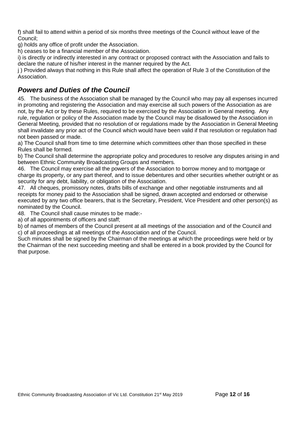f) shall fail to attend within a period of six months three meetings of the Council without leave of the Council;

g) holds any office of profit under the Association.

h) ceases to be a financial member of the Association.

i) is directly or indirectly interested in any contract or proposed contract with the Association and fails to declare the nature of his/her interest in the manner required by the Act.

j ) Provided always that nothing in this Rule shall affect the operation of Rule 3 of the Constitution of the Association.

#### <span id="page-11-0"></span>*Powers and Duties of the Council*

45. The business of the Association shall be managed by the Council who may pay all expenses incurred in promoting and registering the Association and may exercise all such powers of the Association as are not, by the Act or by these Rules, required to be exercised by the Association in General meeting. Any rule, regulation or policy of the Association made by the Council may be disallowed by the Association in General Meeting, provided that no resolution of or regulations made by the Association in General Meeting shall invalidate any prior act of the Council which would have been valid if that resolution or regulation had not been passed or made.

a) The Council shall from time to time determine which committees other than those specified in these Rules shall be formed.

b) The Council shall determine the appropriate policy and procedures to resolve any disputes arising in and between Ethnic Community Broadcasting Groups and members.

46. The Council may exercise all the powers of the Association to borrow money and to mortgage or charge its property, or any part thereof, and to issue debentures and other securities whether outright or as security for any debt, liability, or obligation of the Association.

47. All cheques, promissory notes, drafts bills of exchange and other negotiable instruments and all receipts for money paid to the Association shall be signed, drawn accepted and endorsed or otherwise executed by any two office bearers, that is the Secretary, President, Vice President and other person(s) as nominated by the Council.

48. The Council shall cause minutes to be made:-

a) of all appointments of officers and staff;

b) of names of members of the Council present at all meetings of the association and of the Council and c) of all proceedings at all meetings of the Association and of the Council.

<span id="page-11-1"></span>Such minutes shall be signed by the Chairman of the meetings at which the proceedings were held or by the Chairman of the next succeeding meeting and shall be entered in a book provided by the Council for that purpose.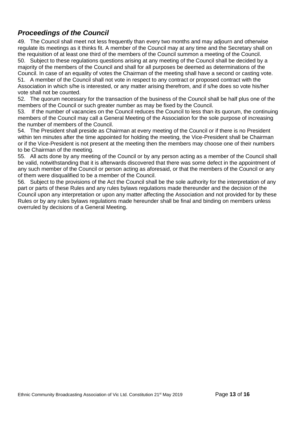#### *Proceedings of the Council*

49. The Council shall meet not less frequently than every two months and may adjourn and otherwise regulate its meetings as it thinks fit. A member of the Council may at any time and the Secretary shall on the requisition of at least one third of the members of the Council summon a meeting of the Council. 50. Subject to these regulations questions arising at any meeting of the Council shall be decided by a majority of the members of the Council and shall for all purposes be deemed as determinations of the Council. In case of an equality of votes the Chairman of the meeting shall have a second or casting vote. 51. A member of the Council shall not vote in respect to any contract or proposed contract with the Association in which s/he is interested, or any matter arising therefrom, and if s/he does so vote his/her vote shall not be counted.

52. The quorum necessary for the transaction of the business of the Council shall be half plus one of the members of the Council or such greater number as may be fixed by the Council.

53. If the number of vacancies on the Council reduces the Council to less than its quorum, the continuing members of the Council may call a General Meeting of the Association for the sole purpose of increasing the number of members of the Council.

54. The President shall preside as Chairman at every meeting of the Council or if there is no President within ten minutes after the time appointed for holding the meeting, the Vice-President shall be Chairman or if the Vice-President is not present at the meeting then the members may choose one of their numbers to be Chairman of the meeting.

55. All acts done by any meeting of the Council or by any person acting as a member of the Council shall be valid, notwithstanding that it is afterwards discovered that there was some defect in the appointment of any such member of the Council or person acting as aforesaid, or that the members of the Council or any of them were disqualified to be a member of the Council.

56. Subject to the provisions of the Act the Council shall be the sole authority for the interpretation of any part or parts of these Rules and any rules bylaws regulations made thereunder and the decision of the Council upon any interpretation or upon any matter affecting the Association and not provided for by these Rules or by any rules bylaws regulations made hereunder shall be final and binding on members unless overruled by decisions of a General Meeting.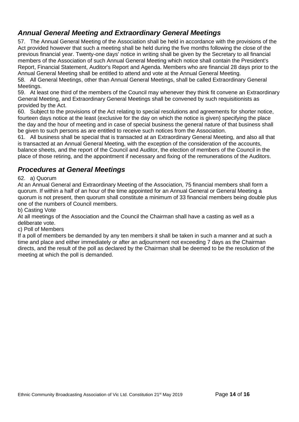#### <span id="page-13-0"></span>*Annual General Meeting and Extraordinary General Meetings*

57. The Annual General Meeting of the Association shall be held in accordance with the provisions of the Act provided however that such a meeting shall be held during the five months following the close of the previous financial year. Twenty-one days' notice in writing shall be given by the Secretary to all financial members of the Association of such Annual General Meeting which notice shall contain the President's Report, Financial Statement, Auditor's Report and Agenda. Members who are financial 28 days prior to the Annual General Meeting shall be entitled to attend and vote at the Annual General Meeting.

58. All General Meetings, other than Annual General Meetings, shall be called Extraordinary General Meetings.

59. At least one third of the members of the Council may whenever they think fit convene an Extraordinary General Meeting, and Extraordinary General Meetings shall be convened by such requisitionists as provided by the Act.

60. Subject to the provisions of the Act relating to special resolutions and agreements for shorter notice, fourteen days notice at the least (exclusive for the day on which the notice is given) specifying the place the day and the hour of meeting and in case of special business the general nature of that business shall be given to such persons as are entitled to receive such notices from the Association.

61. All business shall be special that is transacted at an Extraordinary General Meeting, and also all that is transacted at an Annual General Meeting, with the exception of the consideration of the accounts, balance sheets, and the report of the Council and Auditor, the election of members of the Council in the place of those retiring, and the appointment if necessary and fixing of the remunerations of the Auditors.

#### <span id="page-13-1"></span>*Procedures at General Meetings*

#### 62. a) Quorum

At an Annual General and Extraordinary Meeting of the Association, 75 financial members shall form a quorum. If within a half of an hour of the time appointed for an Annual General or General Meeting a quorum is not present, then quorum shall constitute a minimum of 33 financial members being double plus one of the numbers of Council members.

b) Casting Vote

At all meetings of the Association and the Council the Chairman shall have a casting as well as a deliberate vote.

#### c) Poll of Members

If a poll of members be demanded by any ten members it shall be taken in such a manner and at such a time and place and either immediately or after an adjournment not exceeding 7 days as the Chairman directs, and the result of the poll as declared by the Chairman shall be deemed to be the resolution of the meeting at which the poll is demanded.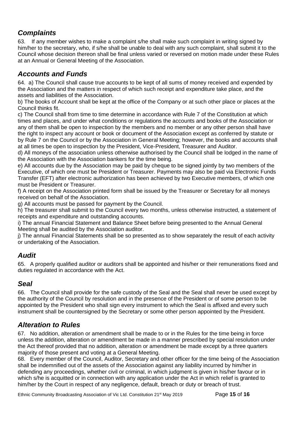#### <span id="page-14-0"></span>*Complaints*

63. If any member wishes to make a complaint s/he shall make such complaint in writing signed by him/her to the secretary, who, if s/he shall be unable to deal with any such complaint, shall submit it to the Council whose decision thereon shall be final unless varied or reversed on motion made under these Rules at an Annual or General Meeting of the Association.

#### <span id="page-14-1"></span>*Accounts and Funds*

64. a) The Council shall cause true accounts to be kept of all sums of money received and expended by the Association and the matters in respect of which such receipt and expenditure take place, and the assets and liabilities of the Association.

b) The books of Account shall be kept at the office of the Company or at such other place or places at the Council thinks fit.

c) The Council shall from time to time determine in accordance with Rule 7 of the Constitution at which times and places, and under what conditions or regulations the accounts and books of the Association or any of them shall be open to inspection by the members and no member or any other person shall have the right to inspect any account or book or document of the Association except as conferred by statute or by Rule 7 on the Council or by the Association in General Meeting; however, the books and accounts shall at all times be open to inspection by the President, Vice-President, Treasurer and Auditor.

d) All moneys of the association unless otherwise authorised by the Council shall be lodged in the name of the Association with the Association bankers for the time being.

e) All accounts due by the Association may be paid by cheque to be signed jointly by two members of the Executive, of which one must be President or Treasurer. Payments may also be paid via Electronic Funds Transfer (EFT) after electronic authorization has been achieved by two Executive members, of which one must be President or Treasurer.

f) A receipt on the Association printed form shall be issued by the Treasurer or Secretary for all moneys received on behalf of the Association.

g) All accounts must be passed for payment by the Council.

h) The treasurer shall submit to the Council every two months, unless otherwise instructed, a statement of receipts and expenditure and outstanding accounts.

i) The annual Financial Statement and Balance Sheet before being presented to the Annual General Meeting shall be audited by the Association auditor.

j) The annual Financial Statements shall be so presented as to show separately the result of each activity or undertaking of the Association.

#### <span id="page-14-2"></span>*Audit*

65. A properly qualified auditor or auditors shall be appointed and his/her or their remunerations fixed and duties regulated in accordance with the Act.

#### <span id="page-14-3"></span>*Seal*

66. The Council shall provide for the safe custody of the Seal and the Seal shall never be used except by the authority of the Council by resolution and in the presence of the President or of some person to be appointed by the President who shall sign every instrument to which the Seal is affixed and every such instrument shall be countersigned by the Secretary or some other person appointed by the President.

#### <span id="page-14-4"></span>*Alteration to Rules*

67. No addition, alteration or amendment shall be made to or in the Rules for the time being in force unless the addition, alteration or amendment be made in a manner prescribed by special resolution under the Act thereof provided that no addition, alteration or amendment be made except by a three quarters majority of those present and voting at a General Meeting.

68. Every member of the Council, Auditor, Secretary and other officer for the time being of the Association shall be indemnified out of the assets of the Association against any liability incurred by him/her in defending any proceedings, whether civil or criminal, in which judgment is given in his/her favour or in which s/he is acquitted or in connection with any application under the Act in which relief is granted to him/her by the Court in respect of any negligence, default, breach or duty or breach of trust.

Ethnic Community Broadcasting Association of Vic Ltd. Constitution 21<sup>st</sup> May 2019